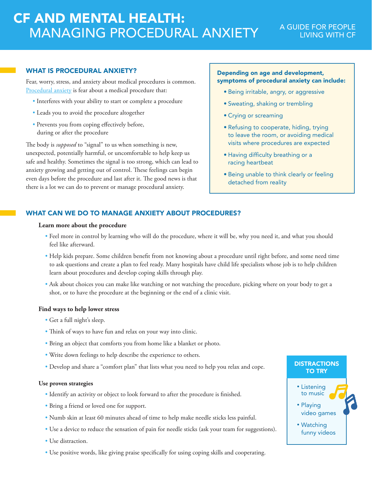# CF AND MENTAL HEALTH: MANAGING PROCEDURAL ANXIETY

# A GUIDE FOR PEOPLE LIVING WITH CF

## WHAT IS PROCEDURAL ANXIETY?

Fear, worry, stress, and anxiety about medical procedures is common. [Procedural anxiety](https://www.cff.org/Life-With-CF/Daily-Life/Emotional-Wellness/Procedural-Anxiety/) is fear about a medical procedure that:

- Interferes with your ability to start or complete a procedure
- Leads you to avoid the procedure altogether
- Prevents you from coping effectively before, during or after the procedure

The body is *supposed* to "signal" to us when something is new, unexpected, potentially harmful, or uncomfortable to help keep us safe and healthy. Sometimes the signal is too strong, which can lead to anxiety growing and getting out of control. These feelings can begin even days before the procedure and last after it. The good news is that there is a lot we can do to prevent or manage procedural anxiety.

## Depending on age and development, symptoms of procedural anxiety can include:

- Being irritable, angry, or aggressive
- Sweating, shaking or trembling
- Crying or screaming
- Refusing to cooperate, hiding, trying to leave the room, or avoiding medical visits where procedures are expected
- Having difficulty breathing or a racing heartbeat
- Being unable to think clearly or feeling detached from reality

## WHAT CAN WE DO TO MANAGE ANXIETY ABOUT PROCEDURES?

#### **Learn more about the procedure**

- Feel more in control by learning who will do the procedure, where it will be, why you need it, and what you should feel like afterward.
- Help kids prepare. Some children benefit from not knowing about a procedure until right before, and some need time to ask questions and create a plan to feel ready. Many hospitals have child life specialists whose job is to help children learn about procedures and develop coping skills through play.
- Ask about choices you can make like watching or not watching the procedure, picking where on your body to get a shot, or to have the procedure at the beginning or the end of a clinic visit.

#### **Find ways to help lower stress**

- Get a full night's sleep.
- Think of ways to have fun and relax on your way into clinic.
- Bring an object that comforts you from home like a blanket or photo.
- Write down feelings to help describe the experience to others.
- Develop and share a "comfort plan" that lists what you need to help you relax and cope.

### **Use proven strategies**

- Identify an activity or object to look forward to after the procedure is finished.
- Bring a friend or loved one for support.
- Numb skin at least 60 minutes ahead of time to help make needle sticks less painful.
- Use a device to reduce the sensation of pain for needle sticks (ask your team for suggestions).
- Use distraction.
- Use positive words, like giving praise specifically for using coping skills and cooperating.

## **DISTRACTIONS** TO TRY

- Listening to music • Playing video games
- Watching funny videos